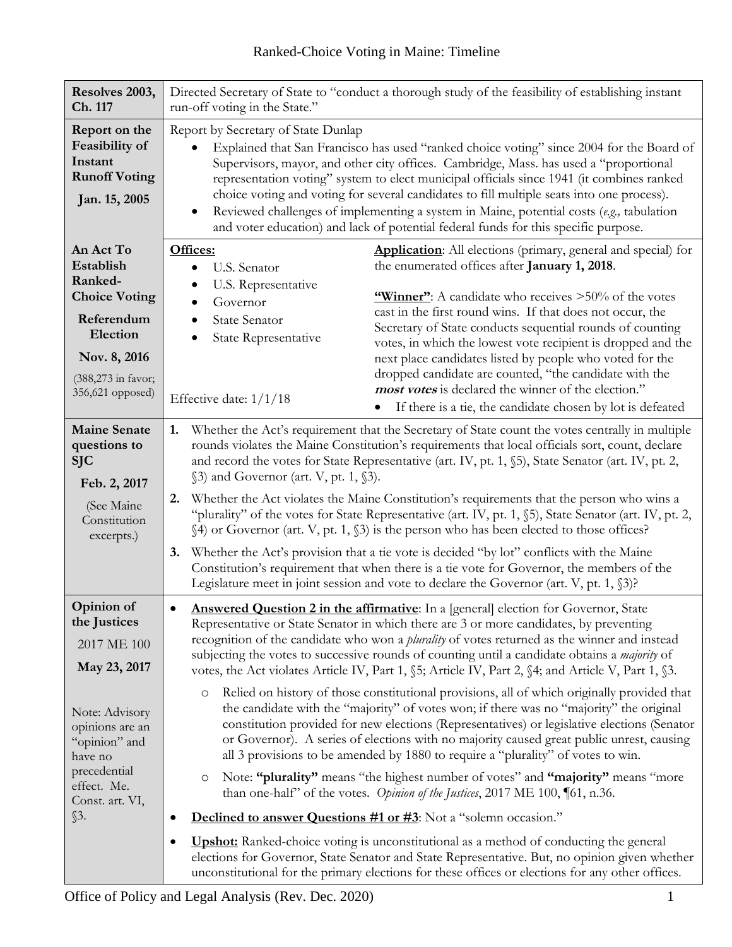| Resolves 2003,<br>Ch. 117                                                                                                                                                              | Directed Secretary of State to "conduct a thorough study of the feasibility of establishing instant<br>run-off voting in the State."                                                                                                                                                                                                                                                                                                                                                                                                                                                                                                                                                                                                                                                                                                                                                                                                                                                                                                                                                                                                                                                                                                                                                                                                                                                                                                                                                                                                                                                               |  |
|----------------------------------------------------------------------------------------------------------------------------------------------------------------------------------------|----------------------------------------------------------------------------------------------------------------------------------------------------------------------------------------------------------------------------------------------------------------------------------------------------------------------------------------------------------------------------------------------------------------------------------------------------------------------------------------------------------------------------------------------------------------------------------------------------------------------------------------------------------------------------------------------------------------------------------------------------------------------------------------------------------------------------------------------------------------------------------------------------------------------------------------------------------------------------------------------------------------------------------------------------------------------------------------------------------------------------------------------------------------------------------------------------------------------------------------------------------------------------------------------------------------------------------------------------------------------------------------------------------------------------------------------------------------------------------------------------------------------------------------------------------------------------------------------------|--|
| Report on the<br>Feasibility of<br>Instant<br><b>Runoff Voting</b><br>Jan. 15, 2005                                                                                                    | Report by Secretary of State Dunlap<br>Explained that San Francisco has used "ranked choice voting" since 2004 for the Board of<br>Supervisors, mayor, and other city offices. Cambridge, Mass. has used a "proportional<br>representation voting" system to elect municipal officials since 1941 (it combines ranked<br>choice voting and voting for several candidates to fill multiple seats into one process).<br>Reviewed challenges of implementing a system in Maine, potential costs (e.g., tabulation<br>$\bullet$<br>and voter education) and lack of potential federal funds for this specific purpose.                                                                                                                                                                                                                                                                                                                                                                                                                                                                                                                                                                                                                                                                                                                                                                                                                                                                                                                                                                                 |  |
| An Act To<br>Establish<br>Ranked-<br><b>Choice Voting</b><br>Referendum<br>Election<br>Nov. 8, 2016<br>(388,273 in favor;<br>356,621 opposed)                                          | Offices:<br><b>Application:</b> All elections (primary, general and special) for<br>the enumerated offices after January 1, 2018.<br>U.S. Senator<br>U.S. Representative<br>$\bullet$<br>"Winner": A candidate who receives >50% of the votes<br>Governor<br>cast in the first round wins. If that does not occur, the<br><b>State Senator</b><br>Secretary of State conducts sequential rounds of counting<br>State Representative<br>votes, in which the lowest vote recipient is dropped and the<br>next place candidates listed by people who voted for the<br>dropped candidate are counted, "the candidate with the<br><i>most votes</i> is declared the winner of the election."<br>Effective date: 1/1/18<br>If there is a tie, the candidate chosen by lot is defeated                                                                                                                                                                                                                                                                                                                                                                                                                                                                                                                                                                                                                                                                                                                                                                                                                    |  |
| <b>Maine Senate</b><br>questions to<br><b>SJC</b><br>Feb. 2, 2017<br>(See Maine<br>Constitution<br>excerpts.)                                                                          | Whether the Act's requirement that the Secretary of State count the votes centrally in multiple<br>1.<br>rounds violates the Maine Constitution's requirements that local officials sort, count, declare<br>and record the votes for State Representative (art. IV, pt. 1, §5), State Senator (art. IV, pt. 2,<br>$\S$ 3) and Governor (art. V, pt. 1, $\S$ 3).<br>Whether the Act violates the Maine Constitution's requirements that the person who wins a<br>2.<br>"plurality" of the votes for State Representative (art. IV, pt. 1, §5), State Senator (art. IV, pt. 2,<br>§4) or Governor (art. V, pt. 1, §3) is the person who has been elected to those offices?<br>Whether the Act's provision that a tie vote is decided "by lot" conflicts with the Maine<br>3.<br>Constitution's requirement that when there is a tie vote for Governor, the members of the<br>Legislature meet in joint session and vote to declare the Governor (art. V, pt. 1, §3)?                                                                                                                                                                                                                                                                                                                                                                                                                                                                                                                                                                                                                                 |  |
| Opinion of<br>the Justices<br>2017 ME 100<br>May 23, 2017<br>Note: Advisory<br>opinions are an<br>"opinion" and<br>have no<br>precedential<br>effect. Me.<br>Const. art. VI,<br>$\S3.$ | <b>Answered Question 2 in the affirmative:</b> In a [general] election for Governor, State<br>$\bullet$<br>Representative or State Senator in which there are 3 or more candidates, by preventing<br>recognition of the candidate who won a <i>plurality</i> of votes returned as the winner and instead<br>subjecting the votes to successive rounds of counting until a candidate obtains a <i>majority</i> of<br>votes, the Act violates Article IV, Part 1, $\S$ 5; Article IV, Part 2, $\S$ 4; and Article V, Part 1, $\S$ 3.<br>Relied on history of those constitutional provisions, all of which originally provided that<br>$\circ$<br>the candidate with the "majority" of votes won; if there was no "majority" the original<br>constitution provided for new elections (Representatives) or legislative elections (Senator<br>or Governor). A series of elections with no majority caused great public unrest, causing<br>all 3 provisions to be amended by 1880 to require a "plurality" of votes to win.<br>Note: "plurality" means "the highest number of votes" and "majority" means "more<br>O<br>than one-half' of the votes. <i>Opinion of the Justices</i> , 2017 ME 100, 161, n.36.<br><b>Declined to answer Questions #1 or #3:</b> Not a "solemn occasion."<br>٠<br><b>Upshot:</b> Ranked-choice voting is unconstitutional as a method of conducting the general<br>٠<br>elections for Governor, State Senator and State Representative. But, no opinion given whether<br>unconstitutional for the primary elections for these offices or elections for any other offices. |  |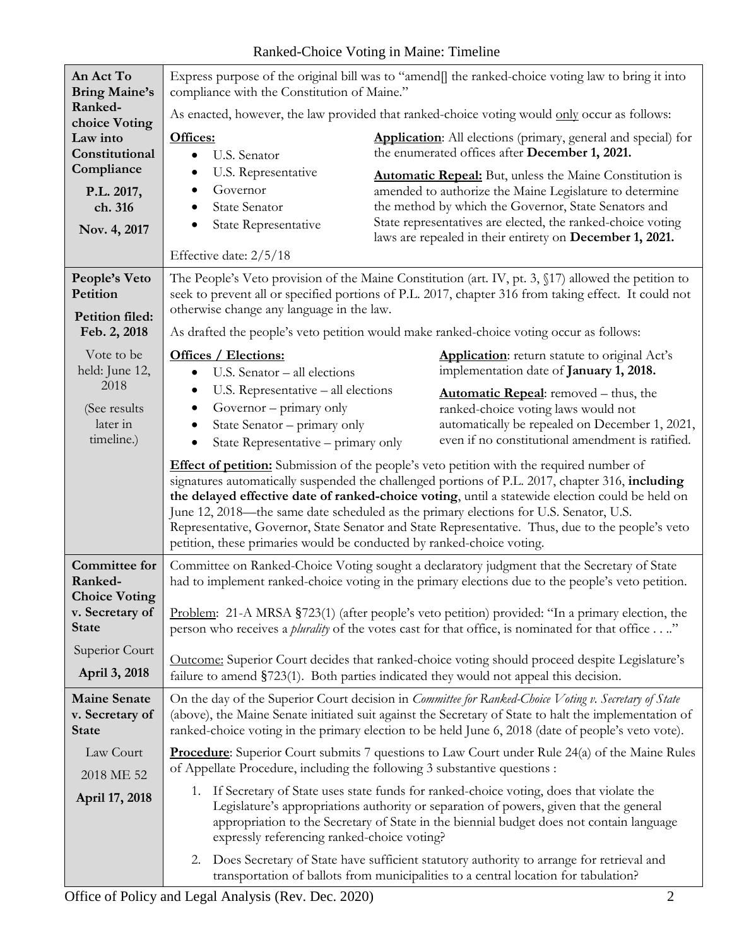| An Act To<br><b>Bring Maine's</b>                                                                  | compliance with the Constitution of Maine."                                                                                                                                                                                                              | Express purpose of the original bill was to "amend[] the ranked-choice voting law to bring it into                                                                                                                                                                                                                                                                                                                                                                                          |  |
|----------------------------------------------------------------------------------------------------|----------------------------------------------------------------------------------------------------------------------------------------------------------------------------------------------------------------------------------------------------------|---------------------------------------------------------------------------------------------------------------------------------------------------------------------------------------------------------------------------------------------------------------------------------------------------------------------------------------------------------------------------------------------------------------------------------------------------------------------------------------------|--|
| Ranked-                                                                                            | As enacted, however, the law provided that ranked-choice voting would only occur as follows:                                                                                                                                                             |                                                                                                                                                                                                                                                                                                                                                                                                                                                                                             |  |
| choice Voting<br>Law into<br>Constitutional<br>Compliance<br>P.L. 2017,<br>ch. 316<br>Nov. 4, 2017 | Offices:<br>U.S. Senator                                                                                                                                                                                                                                 | <b>Application:</b> All elections (primary, general and special) for<br>the enumerated offices after December 1, 2021.                                                                                                                                                                                                                                                                                                                                                                      |  |
|                                                                                                    | U.S. Representative<br>Governor<br>$\bullet$<br><b>State Senator</b><br>$\bullet$<br>State Representative<br>$\bullet$                                                                                                                                   | <b>Automatic Repeal:</b> But, unless the Maine Constitution is<br>amended to authorize the Maine Legislature to determine<br>the method by which the Governor, State Senators and<br>State representatives are elected, the ranked-choice voting<br>laws are repealed in their entirety on December 1, 2021.                                                                                                                                                                                |  |
|                                                                                                    | Effective date: 2/5/18                                                                                                                                                                                                                                   |                                                                                                                                                                                                                                                                                                                                                                                                                                                                                             |  |
| People's Veto<br>Petition<br><b>Petition filed:</b>                                                | The People's Veto provision of the Maine Constitution (art. IV, pt. 3, §17) allowed the petition to<br>seek to prevent all or specified portions of P.L. 2017, chapter 316 from taking effect. It could not<br>otherwise change any language in the law. |                                                                                                                                                                                                                                                                                                                                                                                                                                                                                             |  |
| Feb. 2, 2018                                                                                       |                                                                                                                                                                                                                                                          | As drafted the people's veto petition would make ranked-choice voting occur as follows:                                                                                                                                                                                                                                                                                                                                                                                                     |  |
| Vote to be<br>held: June 12,                                                                       | <b>Offices / Elections:</b><br>U.S. Senator - all elections                                                                                                                                                                                              | <b>Application:</b> return statute to original Act's<br>implementation date of January 1, 2018.                                                                                                                                                                                                                                                                                                                                                                                             |  |
| 2018<br>(See results)<br>later in<br>timeline.)                                                    | U.S. Representative - all elections<br>Governor – primary only<br>State Senator - primary only<br>State Representative - primary only                                                                                                                    | <b>Automatic Repeal:</b> removed – thus, the<br>ranked-choice voting laws would not<br>automatically be repealed on December 1, 2021,<br>even if no constitutional amendment is ratified.                                                                                                                                                                                                                                                                                                   |  |
|                                                                                                    | petition, these primaries would be conducted by ranked-choice voting.                                                                                                                                                                                    | Effect of petition: Submission of the people's veto petition with the required number of<br>signatures automatically suspended the challenged portions of P.L. 2017, chapter 316, including<br>the delayed effective date of ranked-choice voting, until a statewide election could be held on<br>June 12, 2018—the same date scheduled as the primary elections for U.S. Senator, U.S.<br>Representative, Governor, State Senator and State Representative. Thus, due to the people's veto |  |
| Committee for<br>Ranked-<br><b>Choice Voting</b>                                                   | Committee on Ranked-Choice Voting sought a declaratory judgment that the Secretary of State<br>had to implement ranked-choice voting in the primary elections due to the people's veto petition.                                                         |                                                                                                                                                                                                                                                                                                                                                                                                                                                                                             |  |
| v. Secretary of<br><b>State</b>                                                                    |                                                                                                                                                                                                                                                          | Problem: 21-A MRSA §723(1) (after people's veto petition) provided: "In a primary election, the<br>person who receives a <i>plurality</i> of the votes cast for that office, is nominated for that office."                                                                                                                                                                                                                                                                                 |  |
| Superior Court<br>April 3, 2018                                                                    | Outcome: Superior Court decides that ranked-choice voting should proceed despite Legislature's<br>failure to amend §723(1). Both parties indicated they would not appeal this decision.                                                                  |                                                                                                                                                                                                                                                                                                                                                                                                                                                                                             |  |
| <b>Maine Senate</b><br>v. Secretary of<br><b>State</b>                                             |                                                                                                                                                                                                                                                          | On the day of the Superior Court decision in Committee for Ranked-Choice Voting v. Secretary of State<br>(above), the Maine Senate initiated suit against the Secretary of State to halt the implementation of<br>ranked-choice voting in the primary election to be held June 6, 2018 (date of people's veto vote).                                                                                                                                                                        |  |
| Law Court<br>2018 ME 52                                                                            | of Appellate Procedure, including the following 3 substantive questions :                                                                                                                                                                                | <b>Procedure:</b> Superior Court submits 7 questions to Law Court under Rule $24(a)$ of the Maine Rules                                                                                                                                                                                                                                                                                                                                                                                     |  |
| April 17, 2018                                                                                     | expressly referencing ranked-choice voting?                                                                                                                                                                                                              | 1. If Secretary of State uses state funds for ranked-choice voting, does that violate the<br>Legislature's appropriations authority or separation of powers, given that the general<br>appropriation to the Secretary of State in the biennial budget does not contain language                                                                                                                                                                                                             |  |
|                                                                                                    |                                                                                                                                                                                                                                                          | 2. Does Secretary of State have sufficient statutory authority to arrange for retrieval and<br>transportation of ballots from municipalities to a central location for tabulation?                                                                                                                                                                                                                                                                                                          |  |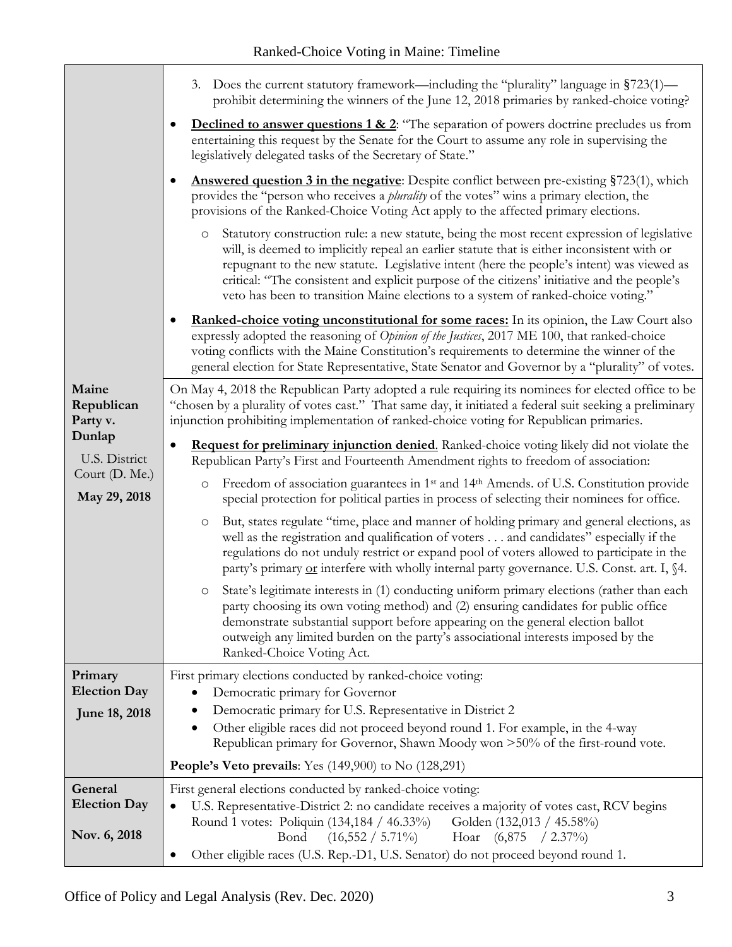|                                                                                              | 3. Does the current statutory framework—including the "plurality" language in §723(1)—<br>prohibit determining the winners of the June 12, 2018 primaries by ranked-choice voting?<br><b>Declined to answer questions 1 &amp; 2:</b> "The separation of powers doctrine precludes us from<br>$\bullet$<br>entertaining this request by the Senate for the Court to assume any role in supervising the<br>legislatively delegated tasks of the Secretary of State."<br>Answered question 3 in the negative: Despite conflict between pre-existing §723(1), which<br>$\bullet$<br>provides the "person who receives a <i>plurality</i> of the votes" wins a primary election, the<br>provisions of the Ranked-Choice Voting Act apply to the affected primary elections.<br>Statutory construction rule: a new statute, being the most recent expression of legislative<br>$\circ$<br>will, is deemed to implicitly repeal an earlier statute that is either inconsistent with or<br>repugnant to the new statute. Legislative intent (here the people's intent) was viewed as<br>critical: "The consistent and explicit purpose of the citizens' initiative and the people's<br>veto has been to transition Maine elections to a system of ranked-choice voting."                                                                                                                                                                                                                                                                    |
|----------------------------------------------------------------------------------------------|-------------------------------------------------------------------------------------------------------------------------------------------------------------------------------------------------------------------------------------------------------------------------------------------------------------------------------------------------------------------------------------------------------------------------------------------------------------------------------------------------------------------------------------------------------------------------------------------------------------------------------------------------------------------------------------------------------------------------------------------------------------------------------------------------------------------------------------------------------------------------------------------------------------------------------------------------------------------------------------------------------------------------------------------------------------------------------------------------------------------------------------------------------------------------------------------------------------------------------------------------------------------------------------------------------------------------------------------------------------------------------------------------------------------------------------------------------------------------------------------------------------------------------------|
|                                                                                              | <b>Ranked-choice voting unconstitutional for some races:</b> In its opinion, the Law Court also<br>expressly adopted the reasoning of Opinion of the Justices, 2017 ME 100, that ranked-choice<br>voting conflicts with the Maine Constitution's requirements to determine the winner of the<br>general election for State Representative, State Senator and Governor by a "plurality" of votes.                                                                                                                                                                                                                                                                                                                                                                                                                                                                                                                                                                                                                                                                                                                                                                                                                                                                                                                                                                                                                                                                                                                                    |
| Maine<br>Republican<br>Party v.<br>Dunlap<br>U.S. District<br>Court (D. Me.)<br>May 29, 2018 | On May 4, 2018 the Republican Party adopted a rule requiring its nominees for elected office to be<br>"chosen by a plurality of votes cast." That same day, it initiated a federal suit seeking a preliminary<br>injunction prohibiting implementation of ranked-choice voting for Republican primaries.<br>Request for preliminary injunction denied. Ranked-choice voting likely did not violate the<br>$\bullet$<br>Republican Party's First and Fourteenth Amendment rights to freedom of association:<br>Freedom of association guarantees in 1 <sup>st</sup> and 14 <sup>th</sup> Amends. of U.S. Constitution provide<br>$\circ$<br>special protection for political parties in process of selecting their nominees for office.<br>But, states regulate "time, place and manner of holding primary and general elections, as<br>$\circ$<br>well as the registration and qualification of voters and candidates" especially if the<br>regulations do not unduly restrict or expand pool of voters allowed to participate in the<br>party's primary or interfere with wholly internal party governance. U.S. Const. art. I, §4.<br>State's legitimate interests in (1) conducting uniform primary elections (rather than each<br>O<br>party choosing its own voting method) and (2) ensuring candidates for public office<br>demonstrate substantial support before appearing on the general election ballot<br>outweigh any limited burden on the party's associational interests imposed by the<br>Ranked-Choice Voting Act. |
| Primary<br><b>Election Day</b><br>June 18, 2018                                              | First primary elections conducted by ranked-choice voting:<br>Democratic primary for Governor<br>Democratic primary for U.S. Representative in District 2<br>Other eligible races did not proceed beyond round 1. For example, in the 4-way<br>$\bullet$<br>Republican primary for Governor, Shawn Moody won >50% of the first-round vote.<br><b>People's Veto prevails:</b> Yes $(149,900)$ to No $(128,291)$                                                                                                                                                                                                                                                                                                                                                                                                                                                                                                                                                                                                                                                                                                                                                                                                                                                                                                                                                                                                                                                                                                                      |
| General<br><b>Election Day</b><br>Nov. 6, 2018                                               | First general elections conducted by ranked-choice voting:<br>U.S. Representative-District 2: no candidate receives a majority of votes cast, RCV begins<br>$\bullet$<br>Round 1 votes: Poliquin (134,184 / 46.33%)<br>Golden (132,013 / 45.58%)<br>$(16,552 / 5.71\%)$<br>Bond<br>Hoar (6,875<br>$(2.37\%)$<br>Other eligible races (U.S. Rep.-D1, U.S. Senator) do not proceed beyond round 1.                                                                                                                                                                                                                                                                                                                                                                                                                                                                                                                                                                                                                                                                                                                                                                                                                                                                                                                                                                                                                                                                                                                                    |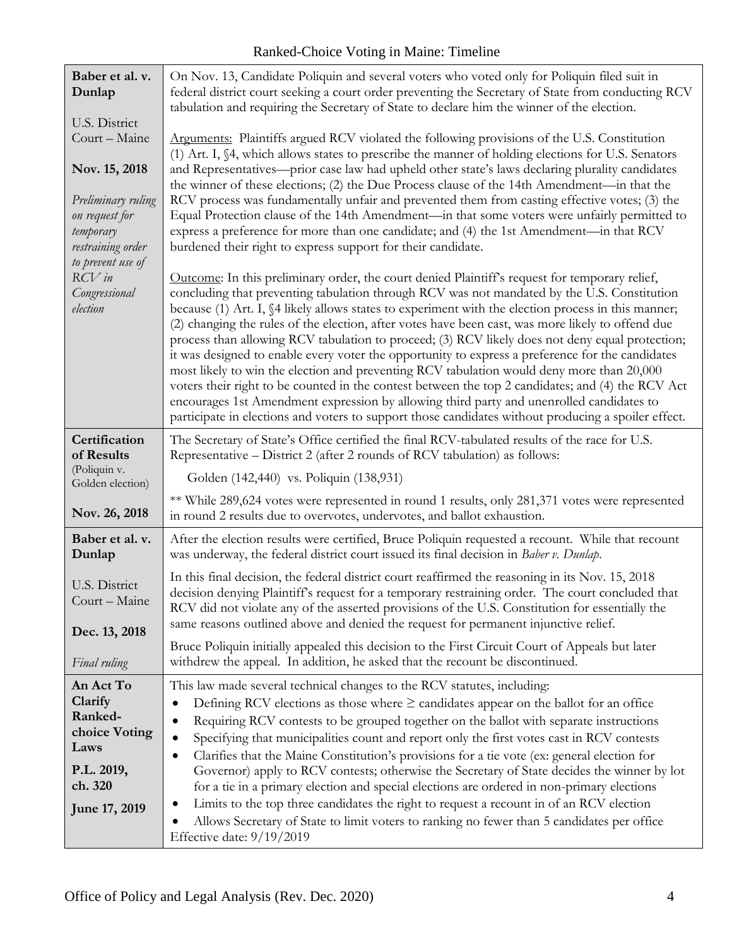| Baber et al. v.<br>Dunlap                                                                          | On Nov. 13, Candidate Poliquin and several voters who voted only for Poliquin filed suit in<br>federal district court seeking a court order preventing the Secretary of State from conducting RCV<br>tabulation and requiring the Secretary of State to declare him the winner of the election.                                                                                                                                                                                                                                                                                                                                                                                                                                                                                                                                                                                                                                                                                                                       |
|----------------------------------------------------------------------------------------------------|-----------------------------------------------------------------------------------------------------------------------------------------------------------------------------------------------------------------------------------------------------------------------------------------------------------------------------------------------------------------------------------------------------------------------------------------------------------------------------------------------------------------------------------------------------------------------------------------------------------------------------------------------------------------------------------------------------------------------------------------------------------------------------------------------------------------------------------------------------------------------------------------------------------------------------------------------------------------------------------------------------------------------|
| U.S. District                                                                                      |                                                                                                                                                                                                                                                                                                                                                                                                                                                                                                                                                                                                                                                                                                                                                                                                                                                                                                                                                                                                                       |
| Court - Maine                                                                                      | Arguments: Plaintiffs argued RCV violated the following provisions of the U.S. Constitution<br>(1) Art. I, §4, which allows states to prescribe the manner of holding elections for U.S. Senators                                                                                                                                                                                                                                                                                                                                                                                                                                                                                                                                                                                                                                                                                                                                                                                                                     |
| Nov. 15, 2018                                                                                      | and Representatives-prior case law had upheld other state's laws declaring plurality candidates<br>the winner of these elections; (2) the Due Process clause of the 14th Amendment—in that the                                                                                                                                                                                                                                                                                                                                                                                                                                                                                                                                                                                                                                                                                                                                                                                                                        |
| Preliminary ruling<br>on request for<br>temporary<br>restraining order<br>to prevent use of        | RCV process was fundamentally unfair and prevented them from casting effective votes; (3) the<br>Equal Protection clause of the 14th Amendment—in that some voters were unfairly permitted to<br>express a preference for more than one candidate; and (4) the 1st Amendment—in that RCV<br>burdened their right to express support for their candidate.                                                                                                                                                                                                                                                                                                                                                                                                                                                                                                                                                                                                                                                              |
| $RCV$ in<br>Congressional<br>election                                                              | Outcome: In this preliminary order, the court denied Plaintiff's request for temporary relief,<br>concluding that preventing tabulation through RCV was not mandated by the U.S. Constitution<br>because (1) Art. I, §4 likely allows states to experiment with the election process in this manner;<br>(2) changing the rules of the election, after votes have been cast, was more likely to offend due<br>process than allowing RCV tabulation to proceed; (3) RCV likely does not deny equal protection;<br>it was designed to enable every voter the opportunity to express a preference for the candidates<br>most likely to win the election and preventing RCV tabulation would deny more than 20,000<br>voters their right to be counted in the contest between the top 2 candidates; and (4) the RCV Act<br>encourages 1st Amendment expression by allowing third party and unenrolled candidates to<br>participate in elections and voters to support those candidates without producing a spoiler effect. |
| Certification<br>of Results                                                                        | The Secretary of State's Office certified the final RCV-tabulated results of the race for U.S.<br>Representative - District 2 (after 2 rounds of RCV tabulation) as follows:                                                                                                                                                                                                                                                                                                                                                                                                                                                                                                                                                                                                                                                                                                                                                                                                                                          |
| (Poliquin v.<br>Golden election)                                                                   | Golden (142,440) vs. Poliquin (138,931)                                                                                                                                                                                                                                                                                                                                                                                                                                                                                                                                                                                                                                                                                                                                                                                                                                                                                                                                                                               |
| Nov. 26, 2018                                                                                      | ** While 289,624 votes were represented in round 1 results, only 281,371 votes were represented<br>in round 2 results due to overvotes, undervotes, and ballot exhaustion.                                                                                                                                                                                                                                                                                                                                                                                                                                                                                                                                                                                                                                                                                                                                                                                                                                            |
| Baber et al. v.<br>Dunlap                                                                          | After the election results were certified, Bruce Poliquin requested a recount. While that recount<br>was underway, the federal district court issued its final decision in Baber v. Dunlap.                                                                                                                                                                                                                                                                                                                                                                                                                                                                                                                                                                                                                                                                                                                                                                                                                           |
| U.S. District<br>Court - Maine                                                                     | In this final decision, the federal district court reaffirmed the reasoning in its Nov. 15, 2018<br>decision denying Plaintiff's request for a temporary restraining order. The court concluded that<br>RCV did not violate any of the asserted provisions of the U.S. Constitution for essentially the<br>same reasons outlined above and denied the request for permanent injunctive relief.                                                                                                                                                                                                                                                                                                                                                                                                                                                                                                                                                                                                                        |
| Dec. 13, 2018                                                                                      |                                                                                                                                                                                                                                                                                                                                                                                                                                                                                                                                                                                                                                                                                                                                                                                                                                                                                                                                                                                                                       |
| Final ruling                                                                                       | Bruce Poliquin initially appealed this decision to the First Circuit Court of Appeals but later<br>withdrew the appeal. In addition, he asked that the recount be discontinued.                                                                                                                                                                                                                                                                                                                                                                                                                                                                                                                                                                                                                                                                                                                                                                                                                                       |
| An Act To<br>Clarify<br>Ranked-<br>choice Voting<br>Laws<br>P.L. 2019,<br>ch. 320<br>June 17, 2019 | This law made several technical changes to the RCV statutes, including:<br>Defining RCV elections as those where $\geq$ candidates appear on the ballot for an office<br>$\bullet$<br>Requiring RCV contests to be grouped together on the ballot with separate instructions<br>$\bullet$<br>Specifying that municipalities count and report only the first votes cast in RCV contests<br>$\bullet$<br>Clarifies that the Maine Constitution's provisions for a tie vote (ex: general election for<br>$\bullet$<br>Governor) apply to RCV contests; otherwise the Secretary of State decides the winner by lot<br>for a tie in a primary election and special elections are ordered in non-primary elections<br>Limits to the top three candidates the right to request a recount in of an RCV election<br>$\bullet$                                                                                                                                                                                                  |
|                                                                                                    | Allows Secretary of State to limit voters to ranking no fewer than 5 candidates per office<br>Effective date: 9/19/2019                                                                                                                                                                                                                                                                                                                                                                                                                                                                                                                                                                                                                                                                                                                                                                                                                                                                                               |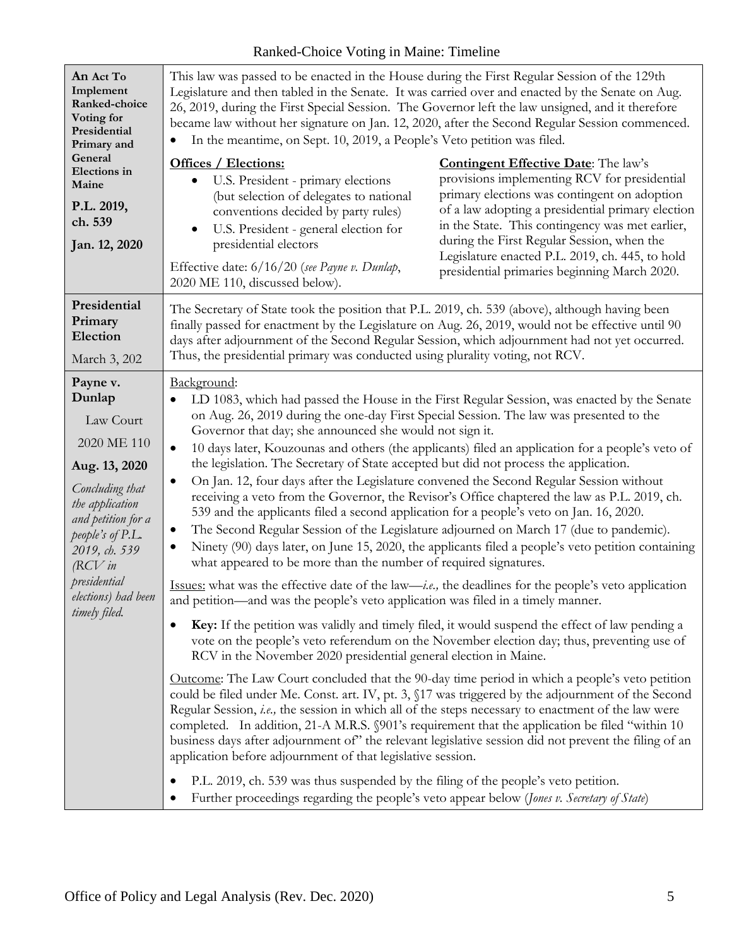| An Act To<br>Implement<br>Ranked-choice<br>Voting for<br>Presidential<br>Primary and                                                                                                                                                   | This law was passed to be enacted in the House during the First Regular Session of the 129th<br>Legislature and then tabled in the Senate. It was carried over and enacted by the Senate on Aug.<br>26, 2019, during the First Special Session. The Governor left the law unsigned, and it therefore<br>became law without her signature on Jan. 12, 2020, after the Second Regular Session commenced.<br>In the meantime, on Sept. 10, 2019, a People's Veto petition was filed.                                                                                                                                                                                                                                                                                                                                                                                                                                                                                                                                                                                                                                                                                                                                                                                                                                                                                                                                                                                                                                                                                                                                                                                                                                                                                                                                                                                                                                                                                                                                                                                                                                                                                                                                                                                                                                                                                                                                                                                                                  |                                                                                                                                                                                                                                                                                                                                                                                                      |
|----------------------------------------------------------------------------------------------------------------------------------------------------------------------------------------------------------------------------------------|----------------------------------------------------------------------------------------------------------------------------------------------------------------------------------------------------------------------------------------------------------------------------------------------------------------------------------------------------------------------------------------------------------------------------------------------------------------------------------------------------------------------------------------------------------------------------------------------------------------------------------------------------------------------------------------------------------------------------------------------------------------------------------------------------------------------------------------------------------------------------------------------------------------------------------------------------------------------------------------------------------------------------------------------------------------------------------------------------------------------------------------------------------------------------------------------------------------------------------------------------------------------------------------------------------------------------------------------------------------------------------------------------------------------------------------------------------------------------------------------------------------------------------------------------------------------------------------------------------------------------------------------------------------------------------------------------------------------------------------------------------------------------------------------------------------------------------------------------------------------------------------------------------------------------------------------------------------------------------------------------------------------------------------------------------------------------------------------------------------------------------------------------------------------------------------------------------------------------------------------------------------------------------------------------------------------------------------------------------------------------------------------------------------------------------------------------------------------------------------------------|------------------------------------------------------------------------------------------------------------------------------------------------------------------------------------------------------------------------------------------------------------------------------------------------------------------------------------------------------------------------------------------------------|
| General<br>Elections in<br>Maine<br>P.L. 2019,<br>ch. 539<br>Jan. 12, 2020                                                                                                                                                             | <b>Offices / Elections:</b><br>U.S. President - primary elections<br>$\bullet$<br>(but selection of delegates to national<br>conventions decided by party rules)<br>U.S. President - general election for<br>$\bullet$<br>presidential electors<br>Effective date: 6/16/20 (see Payne v. Dunlap,<br>2020 ME 110, discussed below).                                                                                                                                                                                                                                                                                                                                                                                                                                                                                                                                                                                                                                                                                                                                                                                                                                                                                                                                                                                                                                                                                                                                                                                                                                                                                                                                                                                                                                                                                                                                                                                                                                                                                                                                                                                                                                                                                                                                                                                                                                                                                                                                                                 | <b>Contingent Effective Date:</b> The law's<br>provisions implementing RCV for presidential<br>primary elections was contingent on adoption<br>of a law adopting a presidential primary election<br>in the State. This contingency was met earlier,<br>during the First Regular Session, when the<br>Legislature enacted P.L. 2019, ch. 445, to hold<br>presidential primaries beginning March 2020. |
| Presidential<br>Primary<br>Election<br>March 3, 202                                                                                                                                                                                    | The Secretary of State took the position that P.L. 2019, ch. 539 (above), although having been<br>finally passed for enactment by the Legislature on Aug. 26, 2019, would not be effective until 90                                                                                                                                                                                                                                                                                                                                                                                                                                                                                                                                                                                                                                                                                                                                                                                                                                                                                                                                                                                                                                                                                                                                                                                                                                                                                                                                                                                                                                                                                                                                                                                                                                                                                                                                                                                                                                                                                                                                                                                                                                                                                                                                                                                                                                                                                                |                                                                                                                                                                                                                                                                                                                                                                                                      |
| Payne v.<br>Dunlap<br>Law Court<br>2020 ME 110<br>Aug. 13, 2020<br>Concluding that<br>the application<br>and petition for a<br>people's of $P.L.$<br>2019, ch. 539<br>$RCV$ in<br>presidential<br>elections) had been<br>timely filed. | days after adjournment of the Second Regular Session, which adjournment had not yet occurred.<br>Thus, the presidential primary was conducted using plurality voting, not RCV.<br>Background:<br>LD 1083, which had passed the House in the First Regular Session, was enacted by the Senate<br>on Aug. 26, 2019 during the one-day First Special Session. The law was presented to the<br>Governor that day; she announced she would not sign it.<br>10 days later, Kouzounas and others (the applicants) filed an application for a people's veto of<br>$\bullet$<br>the legislation. The Secretary of State accepted but did not process the application.<br>On Jan. 12, four days after the Legislature convened the Second Regular Session without<br>$\bullet$<br>receiving a veto from the Governor, the Revisor's Office chaptered the law as P.L. 2019, ch.<br>539 and the applicants filed a second application for a people's veto on Jan. 16, 2020.<br>The Second Regular Session of the Legislature adjourned on March 17 (due to pandemic).<br>Ninety (90) days later, on June 15, 2020, the applicants filed a people's veto petition containing<br>what appeared to be more than the number of required signatures.<br>Issues: what was the effective date of the law— <i>i.e.</i> , the deadlines for the people's veto application<br>and petition-and was the people's veto application was filed in a timely manner.<br><b>Key:</b> If the petition was validly and timely filed, it would suspend the effect of law pending a<br>vote on the people's veto referendum on the November election day; thus, preventing use of<br>RCV in the November 2020 presidential general election in Maine.<br>Outcome: The Law Court concluded that the 90-day time period in which a people's veto petition<br>could be filed under Me. Const. art. IV, pt. 3, §17 was triggered by the adjournment of the Second<br>Regular Session, i.e., the session in which all of the steps necessary to enactment of the law were<br>completed. In addition, 21-A M.R.S. §901's requirement that the application be filed "within 10<br>business days after adjournment of" the relevant legislative session did not prevent the filing of an<br>application before adjournment of that legislative session.<br>P.L. 2019, ch. 539 was thus suspended by the filing of the people's veto petition.<br>Further proceedings regarding the people's veto appear below (Jones v. Secretary of State) |                                                                                                                                                                                                                                                                                                                                                                                                      |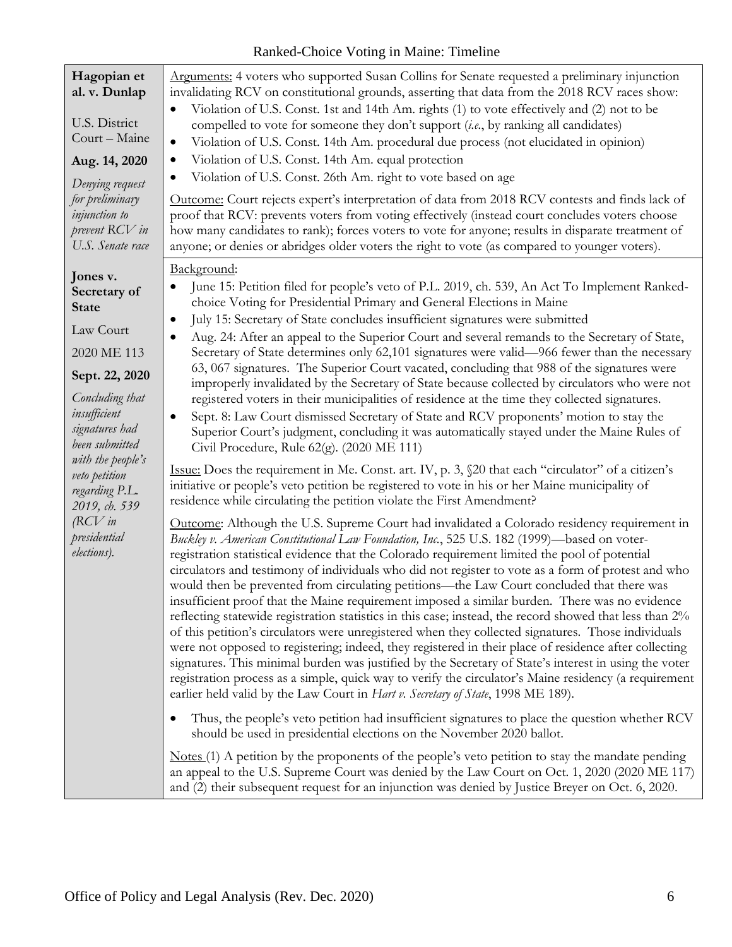| Hagopian et<br>al. v. Dunlap<br>U.S. District<br>Court - Maine<br>Aug. 14, 2020<br>Denying request<br>for preliminary<br>injunction to<br>prevent RCV in<br>U.S. Senate race                                                                                                      | Arguments: 4 voters who supported Susan Collins for Senate requested a preliminary injunction<br>invalidating RCV on constitutional grounds, asserting that data from the 2018 RCV races show:<br>Violation of U.S. Const. 1st and 14th Am. rights (1) to vote effectively and (2) not to be<br>compelled to vote for someone they don't support (i.e., by ranking all candidates)<br>Violation of U.S. Const. 14th Am. procedural due process (not elucidated in opinion)<br>$\bullet$<br>Violation of U.S. Const. 14th Am. equal protection<br>Violation of U.S. Const. 26th Am. right to vote based on age<br>Outcome: Court rejects expert's interpretation of data from 2018 RCV contests and finds lack of<br>proof that RCV: prevents voters from voting effectively (instead court concludes voters choose<br>how many candidates to rank); forces voters to vote for anyone; results in disparate treatment of<br>anyone; or denies or abridges older voters the right to vote (as compared to younger voters).                                                                                                                                                                                                                                                                                                                                                                                                                                                                                                                                                                                                                                                                                                                                                                                                                                                                                                                                                                                                                                                                                                                                                                                                                                                                                                                                                                                                                                                                                                                                                                                                                                                                                                                                                                                                                                                                                                                                                                                                                     |
|-----------------------------------------------------------------------------------------------------------------------------------------------------------------------------------------------------------------------------------------------------------------------------------|----------------------------------------------------------------------------------------------------------------------------------------------------------------------------------------------------------------------------------------------------------------------------------------------------------------------------------------------------------------------------------------------------------------------------------------------------------------------------------------------------------------------------------------------------------------------------------------------------------------------------------------------------------------------------------------------------------------------------------------------------------------------------------------------------------------------------------------------------------------------------------------------------------------------------------------------------------------------------------------------------------------------------------------------------------------------------------------------------------------------------------------------------------------------------------------------------------------------------------------------------------------------------------------------------------------------------------------------------------------------------------------------------------------------------------------------------------------------------------------------------------------------------------------------------------------------------------------------------------------------------------------------------------------------------------------------------------------------------------------------------------------------------------------------------------------------------------------------------------------------------------------------------------------------------------------------------------------------------------------------------------------------------------------------------------------------------------------------------------------------------------------------------------------------------------------------------------------------------------------------------------------------------------------------------------------------------------------------------------------------------------------------------------------------------------------------------------------------------------------------------------------------------------------------------------------------------------------------------------------------------------------------------------------------------------------------------------------------------------------------------------------------------------------------------------------------------------------------------------------------------------------------------------------------------------------------------------------------------------------------------------------------------------------------|
| Jones v.<br>Secretary of<br><b>State</b><br>Law Court<br>2020 ME 113<br>Sept. 22, 2020<br>Concluding that<br>insufficient<br>signatures had<br>been submitted<br>with the people's<br>veto petition<br>regarding P.L.<br>2019, ch. 539<br>$RCV$ in<br>presidential<br>elections). | Background:<br>June 15: Petition filed for people's veto of P.L. 2019, ch. 539, An Act To Implement Ranked-<br>choice Voting for Presidential Primary and General Elections in Maine<br>July 15: Secretary of State concludes insufficient signatures were submitted<br>$\bullet$<br>Aug. 24: After an appeal to the Superior Court and several remands to the Secretary of State,<br>Secretary of State determines only 62,101 signatures were valid-966 fewer than the necessary<br>63, 067 signatures. The Superior Court vacated, concluding that 988 of the signatures were<br>improperly invalidated by the Secretary of State because collected by circulators who were not<br>registered voters in their municipalities of residence at the time they collected signatures.<br>Sept. 8: Law Court dismissed Secretary of State and RCV proponents' motion to stay the<br>Superior Court's judgment, concluding it was automatically stayed under the Maine Rules of<br>Civil Procedure, Rule 62(g). (2020 ME 111)<br>Issue: Does the requirement in Me. Const. art. IV, p. 3, §20 that each "circulator" of a citizen's<br>initiative or people's veto petition be registered to vote in his or her Maine municipality of<br>residence while circulating the petition violate the First Amendment?<br>Outcome: Although the U.S. Supreme Court had invalidated a Colorado residency requirement in<br>Buckley v. American Constitutional Law Foundation, Inc., 525 U.S. 182 (1999)—based on voter-<br>registration statistical evidence that the Colorado requirement limited the pool of potential<br>circulators and testimony of individuals who did not register to vote as a form of protest and who<br>would then be prevented from circulating petitions-the Law Court concluded that there was<br>insufficient proof that the Maine requirement imposed a similar burden. There was no evidence<br>reflecting statewide registration statistics in this case; instead, the record showed that less than 2%<br>of this petition's circulators were unregistered when they collected signatures. Those individuals<br>were not opposed to registering; indeed, they registered in their place of residence after collecting<br>signatures. This minimal burden was justified by the Secretary of State's interest in using the voter<br>registration process as a simple, quick way to verify the circulator's Maine residency (a requirement<br>earlier held valid by the Law Court in Hart v. Secretary of State, 1998 ME 189).<br>Thus, the people's veto petition had insufficient signatures to place the question whether RCV<br>should be used in presidential elections on the November 2020 ballot.<br>$\Delta$ Notes (1) A petition by the proponents of the people's veto petition to stay the mandate pending<br>an appeal to the U.S. Supreme Court was denied by the Law Court on Oct. 1, 2020 (2020 ME 117)<br>and (2) their subsequent request for an injunction was denied by Justice Breyer on Oct. 6, 2020. |